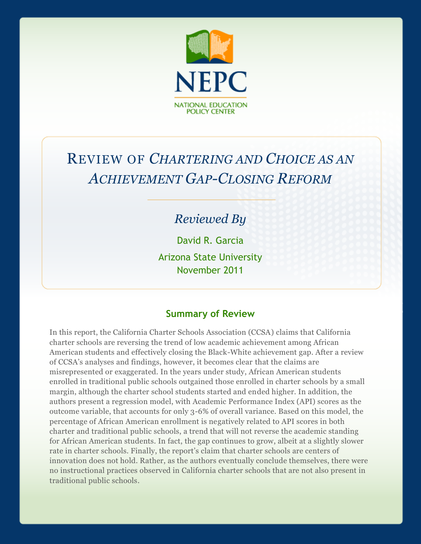

# REVIEW OF *CHARTERING AND CHOICE AS AN ACHIEVEMENT GAP-CLOSING REFORM*

## *Reviewed By*

David R. Garcia

Arizona State University November 2011

#### **Summary of Review**

In this report, the California Charter Schools Association (CCSA) claims that California charter schools are reversing the trend of low academic achievement among African American students and effectively closing the Black-White achievement gap. After a review of CCSA's analyses and findings, however, it becomes clear that the claims are misrepresented or exaggerated. In the years under study, African American students enrolled in traditional public schools outgained those enrolled in charter schools by a small margin, although the charter school students started and ended higher. In addition, the authors present a regression model, with Academic Performance Index (API) scores as the outcome variable, that accounts for only 3-6% of overall variance. Based on this model, the percentage of African American enrollment is negatively related to API scores in both charter and traditional public schools, a trend that will not reverse the academic standing for African American students. In fact, the gap continues to grow, albeit at a slightly slower rate in charter schools. Finally, the report's claim that charter schools are centers of innovation does not hold. Rather, as the authors eventually conclude themselves, there were no instructional practices observed in California charter schools that are not also present in traditional public schools.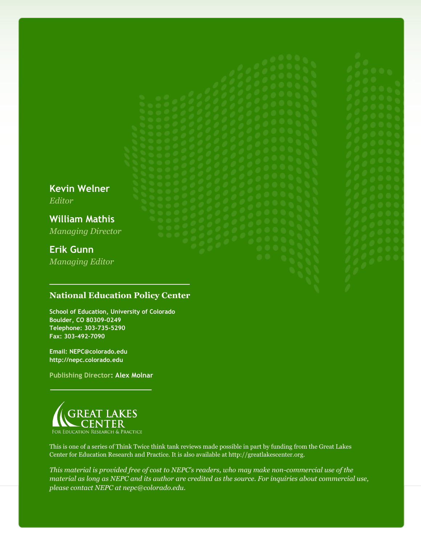**Kevin Welner** *Editor* **William Mathis** *Managing Director* **Erik Gunn** *Managing Editor*

#### **National Education Policy Center**

**School of Education, University of Colorado Boulder, CO 80309-0249 Telephone: 303-735-5290 Fax: 303-492-7090**

**Email: NEPC@colorado.edu http://nepc.colorado.edu**

**Publishing Director: Alex Molnar**



This is one of a series of Think Twice think tank reviews made possible in part by funding from the Great Lakes Center for Education Research and Practice. It is also available at http://greatlakescenter.org.

*This material is provided free of cost to NEPC's readers, who may make non-commercial use of the material as long as NEPC and its author are credited as the source. For inquiries about commercial use, please contact NEPC at nepc@colorado.edu.*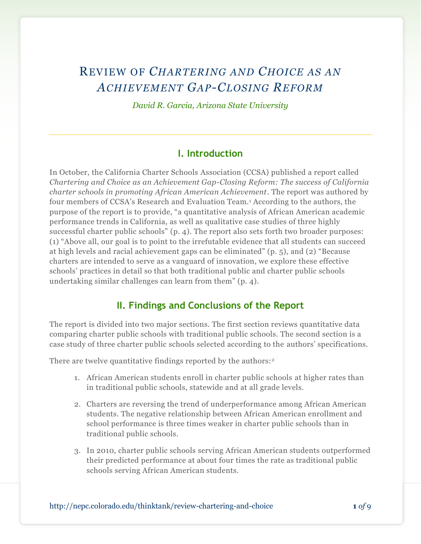## REVIEW OF *CHARTERING AND CHOICE AS AN ACHIEVEMENT GAP-CLOSING REFORM*

*David R. Garcia, Arizona State University*

#### **I. Introduction**

In October, the California Charter Schools Association (CCSA) published a report called *Chartering and Choice as an Achievement Gap-Closing Reform: The success of California charter schools in promoting African American Achievement*. The report was authored by four members of CCSA's Research and Evaluation Team.<sup>1</sup> According to the authors, the purpose of the report is to provide, "a quantitative analysis of African American academic performance trends in California, as well as qualitative case studies of three highly successful charter public schools" (p. 4). The report also sets forth two broader purposes: (1) "Above all, our goal is to point to the irrefutable evidence that all students can succeed at high levels and racial achievement gaps can be eliminated" (p. 5), and (2) "Because charters are intended to serve as a vanguard of innovation, we explore these effective schools' practices in detail so that both traditional public and charter public schools undertaking similar challenges can learn from them" (p. 4).

#### **II. Findings and Conclusions of the Report**

The report is divided into two major sections. The first section reviews quantitative data comparing charter public schools with traditional public schools. The second section is a case study of three charter public schools selected according to the authors' specifications.

There are twelve quantitative findings reported by the authors:<sup>2</sup>

- 1. African American students enroll in charter public schools at higher rates than in traditional public schools, statewide and at all grade levels.
- 2. Charters are reversing the trend of underperformance among African American students. The negative relationship between African American enrollment and school performance is three times weaker in charter public schools than in traditional public schools.
- 3. In 2010, charter public schools serving African American students outperformed their predicted performance at about four times the rate as traditional public schools serving African American students.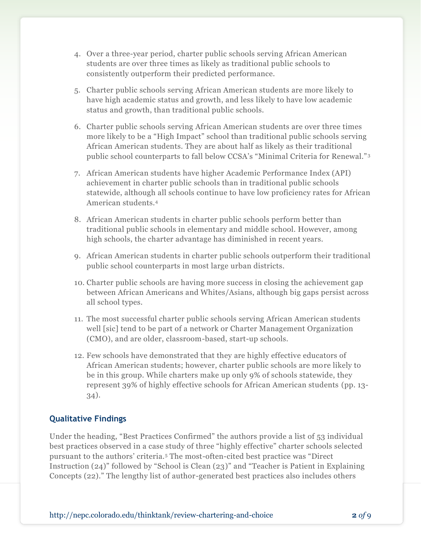- 4. Over a three-year period, charter public schools serving African American students are over three times as likely as traditional public schools to consistently outperform their predicted performance.
- 5. Charter public schools serving African American students are more likely to have high academic status and growth, and less likely to have low academic status and growth, than traditional public schools.
- 6. Charter public schools serving African American students are over three times more likely to be a "High Impact" school than traditional public schools serving African American students. They are about half as likely as their traditional public school counterparts to fall below CCSA's "Minimal Criteria for Renewal." <sup>3</sup>
- 7. African American students have higher Academic Performance Index (API) achievement in charter public schools than in traditional public schools statewide, although all schools continue to have low proficiency rates for African American students.<sup>4</sup>
- 8. African American students in charter public schools perform better than traditional public schools in elementary and middle school. However, among high schools, the charter advantage has diminished in recent years.
- 9. African American students in charter public schools outperform their traditional public school counterparts in most large urban districts.
- 10. Charter public schools are having more success in closing the achievement gap between African Americans and Whites/Asians, although big gaps persist across all school types.
- 11. The most successful charter public schools serving African American students well [sic] tend to be part of a network or Charter Management Organization (CMO), and are older, classroom-based, start-up schools.
- 12. Few schools have demonstrated that they are highly effective educators of African American students; however, charter public schools are more likely to be in this group. While charters make up only 9% of schools statewide, they represent 39% of highly effective schools for African American students (pp. 13- 34).

#### **Qualitative Findings**

Under the heading, "Best Practices Confirmed" the authors provide a list of 53 individual best practices observed in a case study of three "highly effective" charter schools selected pursuant to the authors' criteria.<sup>5</sup> The most-often-cited best practice was "Direct Instruction (24)" followed by "School is Clean (23)" and "Teacher is Patient in Explaining Concepts (22)." The lengthy list of author-generated best practices also includes others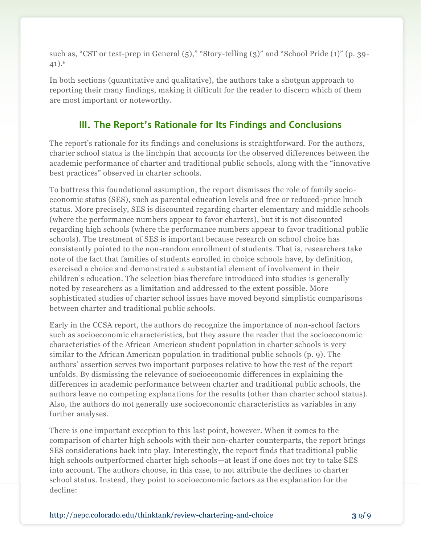such as, "CST or test-prep in General  $(5)$ ," "Story-telling  $(3)$ " and "School Pride  $(1)$ " (p. 39-41).<sup>6</sup>

In both sections (quantitative and qualitative), the authors take a shotgun approach to reporting their many findings, making it difficult for the reader to discern which of them are most important or noteworthy.

### **III. The Report's Rationale for Its Findings and Conclusions**

The report's rationale for its findings and conclusions is straightforward. For the authors, charter school status is the linchpin that accounts for the observed differences between the academic performance of charter and traditional public schools, along with the "innovative best practices" observed in charter schools.

To buttress this foundational assumption, the report dismisses the role of family socioeconomic status (SES), such as parental education levels and free or reduced-price lunch status. More precisely, SES is discounted regarding charter elementary and middle schools (where the performance numbers appear to favor charters), but it is not discounted regarding high schools (where the performance numbers appear to favor traditional public schools). The treatment of SES is important because research on school choice has consistently pointed to the non-random enrollment of students. That is, researchers take note of the fact that families of students enrolled in choice schools have, by definition, exercised a choice and demonstrated a substantial element of involvement in their children's education. The selection bias therefore introduced into studies is generally noted by researchers as a limitation and addressed to the extent possible. More sophisticated studies of charter school issues have moved beyond simplistic comparisons between charter and traditional public schools.

Early in the CCSA report, the authors do recognize the importance of non-school factors such as socioeconomic characteristics, but they assure the reader that the socioeconomic characteristics of the African American student population in charter schools is very similar to the African American population in traditional public schools (p. 9). The authors' assertion serves two important purposes relative to how the rest of the report unfolds. By dismissing the relevance of socioeconomic differences in explaining the differences in academic performance between charter and traditional public schools, the authors leave no competing explanations for the results (other than charter school status). Also, the authors do not generally use socioeconomic characteristics as variables in any further analyses.

There is one important exception to this last point, however. When it comes to the comparison of charter high schools with their non-charter counterparts, the report brings SES considerations back into play. Interestingly, the report finds that traditional public high schools outperformed charter high schools—at least if one does not try to take SES into account. The authors choose, in this case, to not attribute the declines to charter school status. Instead, they point to socioeconomic factors as the explanation for the decline: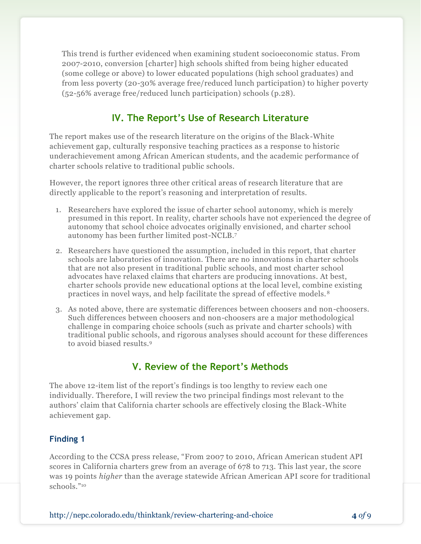This trend is further evidenced when examining student socioeconomic status. From 2007-2010, conversion [charter] high schools shifted from being higher educated (some college or above) to lower educated populations (high school graduates) and from less poverty (20-30% average free/reduced lunch participation) to higher poverty (52-56% average free/reduced lunch participation) schools (p.28).

## **IV. The Report's Use of Research Literature**

The report makes use of the research literature on the origins of the Black-White achievement gap, culturally responsive teaching practices as a response to historic underachievement among African American students, and the academic performance of charter schools relative to traditional public schools.

However, the report ignores three other critical areas of research literature that are directly applicable to the report's reasoning and interpretation of results.

- 1. Researchers have explored the issue of charter school autonomy, which is merely presumed in this report. In reality, charter schools have not experienced the degree of autonomy that school choice advocates originally envisioned, and charter school autonomy has been further limited post-NCLB.<sup>7</sup>
- 2. Researchers have questioned the assumption, included in this report, that charter schools are laboratories of innovation. There are no innovations in charter schools that are not also present in traditional public schools, and most charter school advocates have relaxed claims that charters are producing innovations. At best, charter schools provide new educational options at the local level, combine existing practices in novel ways, and help facilitate the spread of effective models. <sup>8</sup>
- 3. As noted above, there are systematic differences between choosers and non-choosers. Such differences between choosers and non-choosers are a major methodological challenge in comparing choice schools (such as private and charter schools) with traditional public schools, and rigorous analyses should account for these differences to avoid biased results.<sup>9</sup>

#### **V. Review of the Report's Methods**

The above 12-item list of the report's findings is too lengthy to review each one individually. Therefore, I will review the two principal findings most relevant to the authors' claim that California charter schools are effectively closing the Black-White achievement gap.

#### **Finding 1**

According to the CCSA press release, "From 2007 to 2010, African American student API scores in California charters grew from an average of 678 to 713. This last year, the score was 19 points *higher* than the average statewide African American API score for traditional schools." 10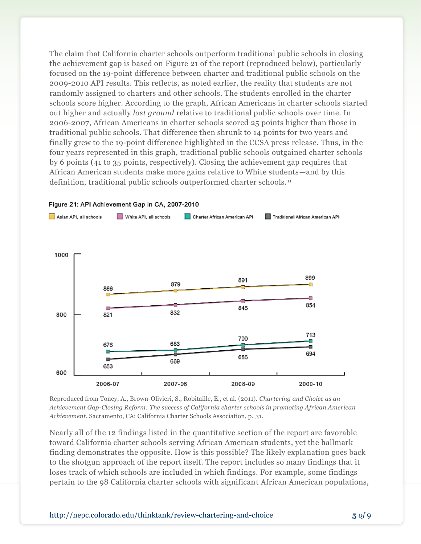The claim that California charter schools outperform traditional public schools in closing the achievement gap is based on Figure 21 of the report (reproduced below), particularly focused on the 19-point difference between charter and traditional public schools on the 2009-2010 API results. This reflects, as noted earlier, the reality that students are not randomly assigned to charters and other schools. The students enrolled in the charter schools score higher. According to the graph, African Americans in charter schools started out higher and actually *lost ground* relative to traditional public schools over time. In 2006-2007, African Americans in charter schools scored 25 points higher than those in traditional public schools. That difference then shrunk to 14 points for two years and finally grew to the 19-point difference highlighted in the CCSA press release. Thus, in the four years represented in this graph, traditional public schools outgained charter schools by 6 points (41 to 35 points, respectively). Closing the achievement gap requires that African American students make more gains relative to White students—and by this definition, traditional public schools outperformed charter schools. <sup>11</sup>



#### Figure 21: API Achievement Gap in CA, 2007-2010

Reproduced from Toney, A., Brown-Olivieri, S., Robitaille, E., et al. (2011). *Chartering and Choice as an Achievement Gap-Closing Reform: The success of California charter schools in promoting African American Achievement.* Sacramento, CA: California Charter Schools Association, p. 31.

Nearly all of the 12 findings listed in the quantitative section of the report are favorable toward California charter schools serving African American students, yet the hallmark finding demonstrates the opposite. How is this possible? The likely explanation goes back to the shotgun approach of the report itself. The report includes so many findings that it loses track of which schools are included in which findings. For example, some findings pertain to the 98 California charter schools with significant African American populations,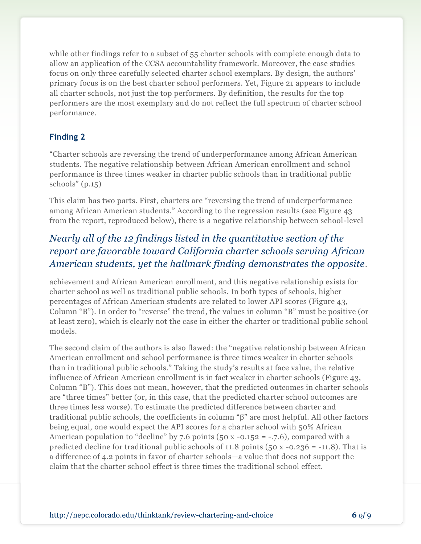while other findings refer to a subset of 55 charter schools with complete enough data to allow an application of the CCSA accountability framework. Moreover, the case studies focus on only three carefully selected charter school exemplars. By design, the authors' primary focus is on the best charter school performers. Yet, Figure 21 appears to include all charter schools, not just the top performers. By definition, the results for the top performers are the most exemplary and do not reflect the full spectrum of charter school performance.

#### **Finding 2**

"Charter schools are reversing the trend of underperformance among African American students. The negative relationship between African American enrollment and school performance is three times weaker in charter public schools than in traditional public schools" (p.15)

This claim has two parts. First, charters are "reversing the trend of underperformance among African American students." According to the regression results (see Figure 43 from the report, reproduced below), there is a negative relationship between school-level

## *Nearly all of the 12 findings listed in the quantitative section of the report are favorable toward California charter schools serving African American students, yet the hallmark finding demonstrates the opposite*.

achievement and African American enrollment, and this negative relationship exists for charter school as well as traditional public schools. In both types of schools, higher percentages of African American students are related to lower API scores (Figure 43, Column "B"). In order to "reverse" the trend, the values in column "B" must be positive (or at least zero), which is clearly not the case in either the charter or traditional public school models.

The second claim of the authors is also flawed: the "negative relationship between African American enrollment and school performance is three times weaker in charter schools than in traditional public schools." Taking the study's results at face value, the relative influence of African American enrollment is in fact weaker in charter schools (Figure 43, Column "B"). This does not mean, however, that the predicted outcomes in charter schools are "three times" better (or, in this case, that the predicted charter school outcomes are three times less worse). To estimate the predicted difference between charter and traditional public schools, the coefficients in column "β" are most helpful. All other factors being equal, one would expect the API scores for a charter school with 50% African American population to "decline" by 7.6 points (50 x -0.152 = -.7.6), compared with a predicted decline for traditional public schools of 11.8 points ( $50 x -0.236 = -11.8$ ). That is a difference of 4.2 points in favor of charter schools—a value that does not support the claim that the charter school effect is three times the traditional school effect.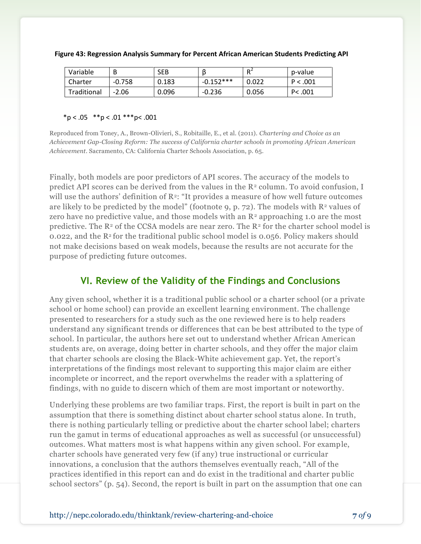| Variable    | В        | <b>SEB</b> |             | D <sup>2</sup> | p-value  |
|-------------|----------|------------|-------------|----------------|----------|
| Charter     | $-0.758$ | 0.183      | $-0.152***$ | 0.022          | P < .001 |
| Traditional | $-2.06$  | 0.096      | $-0.236$    | 0.056          | P<.001   |

| Figure 43: Regression Analysis Summary for Percent African American Students Predicting API |  |
|---------------------------------------------------------------------------------------------|--|
|---------------------------------------------------------------------------------------------|--|

#### $*p < .05$   $* p < .01$   $* * p < .001$

Reproduced from Toney, A., Brown-Olivieri, S., Robitaille, E., et al. (2011). *Chartering and Choice as an Achievement Gap-Closing Reform: The success of California charter schools in promoting African American Achievement*. Sacramento, CA: California Charter Schools Association, p. 65.

Finally, both models are poor predictors of API scores. The accuracy of the models to predict API scores can be derived from the values in the  $\mathbb{R}^2$  column. To avoid confusion, I will use the authors' definition of  $\mathbb{R}^2$ : "It provides a measure of how well future outcomes are likely to be predicted by the model" (footnote 9, p. 72). The models with  $\mathbb{R}^2$  values of zero have no predictive value, and those models with an  $\mathbb{R}^2$  approaching 1.0 are the most predictive. The  $R^2$  of the CCSA models are near zero. The  $R^2$  for the charter school model is 0.022, and the R<sup>2</sup> for the traditional public school model is 0.056. Policy makers should not make decisions based on weak models, because the results are not accurate for the purpose of predicting future outcomes.

#### **VI. Review of the Validity of the Findings and Conclusions**

Any given school, whether it is a traditional public school or a charter school (or a private school or home school) can provide an excellent learning environment. The challenge presented to researchers for a study such as the one reviewed here is to help readers understand any significant trends or differences that can be best attributed to the type of school. In particular, the authors here set out to understand whether African American students are, on average, doing better in charter schools, and they offer the major claim that charter schools are closing the Black-White achievement gap. Yet, the report's interpretations of the findings most relevant to supporting this major claim are either incomplete or incorrect, and the report overwhelms the reader with a splattering of findings, with no guide to discern which of them are most important or noteworthy.

Underlying these problems are two familiar traps. First, the report is built in part on the assumption that there is something distinct about charter school status alone. In truth, there is nothing particularly telling or predictive about the charter school label; charters run the gamut in terms of educational approaches as well as successful (or unsuccessful) outcomes. What matters most is what happens within any given school. For example, charter schools have generated very few (if any) true instructional or curricular innovations, a conclusion that the authors themselves eventually reach, "All of the practices identified in this report can and do exist in the traditional and charter public school sectors" (p. 54). Second, the report is built in part on the assumption that one can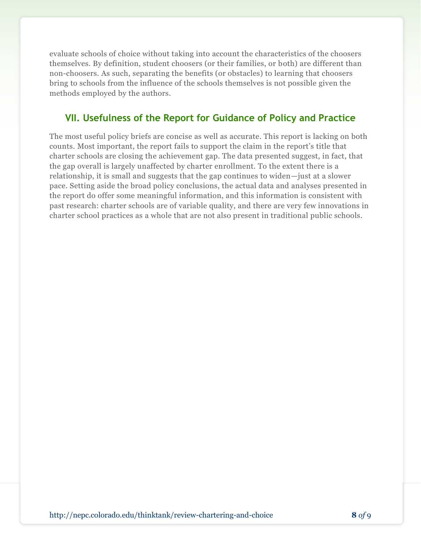evaluate schools of choice without taking into account the characteristics of the choosers themselves. By definition, student choosers (or their families, or both) are different than non-choosers. As such, separating the benefits (or obstacles) to learning that choosers bring to schools from the influence of the schools themselves is not possible given the methods employed by the authors.

## **VII. Usefulness of the Report for Guidance of Policy and Practice**

The most useful policy briefs are concise as well as accurate. This report is lacking on both counts. Most important, the report fails to support the claim in the report's title that charter schools are closing the achievement gap. The data presented suggest, in fact, that the gap overall is largely unaffected by charter enrollment. To the extent there is a relationship, it is small and suggests that the gap continues to widen—just at a slower pace. Setting aside the broad policy conclusions, the actual data and analyses presented in the report do offer some meaningful information, and this information is consistent with past research: charter schools are of variable quality, and there are very few innovations in charter school practices as a whole that are not also present in traditional public schools.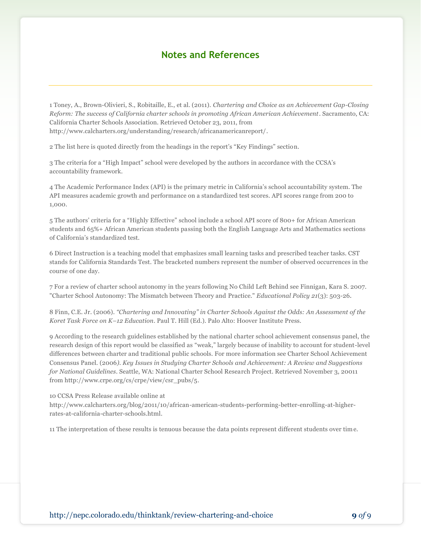#### **Notes and References**

1 Toney, A., Brown-Olivieri, S., Robitaille, E., et al. (2011). *Chartering and Choice as an Achievement Gap-Closing Reform: The success of California charter schools in promoting African American Achievement*. Sacramento, CA: California Charter Schools Association. Retrieved October 23, 2011, from http://www.calcharters.org/understanding/research/africanamericanreport/.

2 The list here is quoted directly from the headings in the report's "Key Findings" section.

3 The criteria for a "High Impact" school were developed by the authors in accordance with the CCSA's accountability framework.

4 The Academic Performance Index (API) is the primary metric in California's school accountability system. The API measures academic growth and performance on a standardized test scores. API scores range from 200 to 1,000.

5 The authors' criteria for a "Highly Effective" school include a school API score of 800+ for African American students and 65%+ African American students passing both the English Language Arts and Mathematics sections of California's standardized test.

6 Direct Instruction is a teaching model that emphasizes small learning tasks and prescribed teacher tasks. CST stands for California Standards Test. The bracketed numbers represent the number of observed occurrences in the course of one day.

7 For a review of charter school autonomy in the years following No Child Left Behind see Finnigan, Kara S. 2007. "Charter School Autonomy: The Mismatch between Theory and Practice." *Educational Policy 21*(3): 503-26.

8 Finn, C.E. Jr. (2006). *"Chartering and Innovating" in Charter Schools Against the Odds: An Assessment of the Koret Task Force on K–12 Education*. Paul T. Hill (Ed.). Palo Alto: Hoover Institute Press.

9 According to the research guidelines established by the national charter school achievement consensus panel, the research design of this report would be classified as "weak," largely because of inability to account for student-level differences between charter and traditional public schools. For more information see Charter School Achievement Consensus Panel. (2006*). Key Issues in Studying Charter Schools and Achievement: A Review and Suggestions for National Guidelines*. Seattle, WA: National Charter School Research Project. Retrieved November 3, 20011 from http://www.crpe.org/cs/crpe/view/csr\_pubs/5.

#### 10 CCSA Press Release available online at

http://www.calcharters.org/blog/2011/10/african-american-students-performing-better-enrolling-at-higherrates-at-california-charter-schools.html.

11 The interpretation of these results is tenuous because the data points represent different students over time.